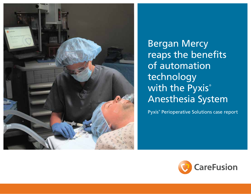

Bergan Mercy reaps the benefits of automation technology with the Pyxis® Anesthesia System

Pyxis® Perioperative Solutions case report

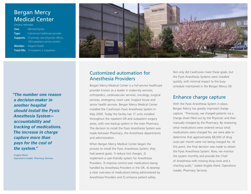# Bergan Mercy Medical Center

| Omaha, Nebraska |                                              |
|-----------------|----------------------------------------------|
| Size:           | 400-bed facility                             |
| Type:           | Full-service healthcare provider             |
| Supports:       | 35 primary care physician offices,           |
|                 | 100 outpatient service centers               |
|                 | <b>Member:</b> Alegent Health                |
|                 | <b>Total ORs:</b> 16 inpatient, 3 outpatient |
|                 |                                              |

*"The number one reason a decision-maker in another hospital should install the Pyxis Anesthesia System accountability and tracking of medications. The increase in charge capture more than pays for the cost of the system."*

Angela Ward Operations Leader, Pharmacy Services



### Customized automation for Anesthesia Providers

Bergan Mercy Medical Center is a full-service healthcare provider known as a leader in maternity services, orthopedics, cardiovascular services, oncology, surgical services, emergency room care, hospice house and senior health services. Bergan Mercy Medical Center installed the CareFusion Pyxis Anesthesia System in May 2000. Today the facility has 17 units installed throughout the inpatient OR and outpatient surgery areas, with one backup system in the main Pharmacy. The decision to install the Pyxis Anesthesia System was made between Pharmacy, the Anesthesia departments and administration.

When Bergan Mercy Medical Center began the process to install the Pyxis Anesthesia System, they had several goals: 1) reduce lost charges, 2) implement a user-friendly system for Anesthesia Providers, 3) improve control over medications being handled by Anesthesia Providers in the OR, 4) develop a clear overview of medications being administered by Anesthesia Providers and 5) enhance patient safety.

Not only did CareFusion meet these goals, but the Pyxis Anesthesia Systems were installed quickly, with minimal impact to the busy schedule maintained in the Bergan Mercy OR.

### Enhance charge capture

With the Pyxis Anesthesia System in place, Bergan Mercy has greatly improved charge capture. "Previously, we charged patients via a charge sheet filled out by the Physician and then manually charged by the Pharmacy. By reviewing what medications were ordered versus what medications were charged for, we were able to determine that approximately \$8,000 of drug costs per month were not being charged for. At this point, the final decision was made to obtain the Pyxis Anesthesia System. Now, we monitor the system monthly and provide the Chief of Anesthesia with missing drug costs and a charting audit," stated Angela Ward, Operations Leader, Pharmacy Services.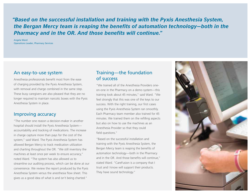*"Based on the successful installation and training with the Pyxis Anesthesia System, the Bergan Mercy team is reaping the benefits of automation technology—both in the Pharmacy and in the OR. And those benefits will continue."*

Angela Ward Operations Leader, Pharmacy Services

#### An easy-to-use system

Anesthesia professionals benefit most from the ease of charging provided by the Pyxis Anesthesia System, with removal and charge combined in the same step. These busy caregivers are also pleased that they are no longer required to maintain narcotic boxes with the Pyxis Anesthesia System in place.

#### Improving accuracy

"The number one reason a decision-maker in another hospital should install the Pyxis Anesthesia System accountability and tracking of medications. The increase in charge capture more than pays for the cost of the system," said Ward. The Pyxis Anesthesia System has allowed Bergan Mercy to track medication utilization and charting throughout the OR. "We still inventory the machines at least once per week to ensure accuracy," noted Ward. "The system has also allowed us to streamline our auditing process, which can be done at our convenience. We review the report produced by the Pyxis Anesthesia System versus the anesthesia flow sheet. This gives us a good idea of what is and isn't being charted."

### Training—the foundation of success

"We trained all of the Anesthesia Providers oneon-one in the Pharmacy on a demo system—this training took about 45 minutes," said Ward. "We feel strongly that this was one of the keys to our success. With the right training, our first cases using the Pyxis Anesthesia System ran smoothly. Each Pharmacy team member also trained for 45 minutes. We trained them on the refilling aspects but also on how to use the machines as an Anesthesia Provider so that they could field questions."

"Based on the successful installation and training with the Pyxis Anesthesia System, the Bergan Mercy team is reaping the benefits of automation technology—both in the Pharmacy and in the OR. And those benefits will continue," stated Ward. "CareFusion is a company that I trust and I know will support their products. They have sound technology."